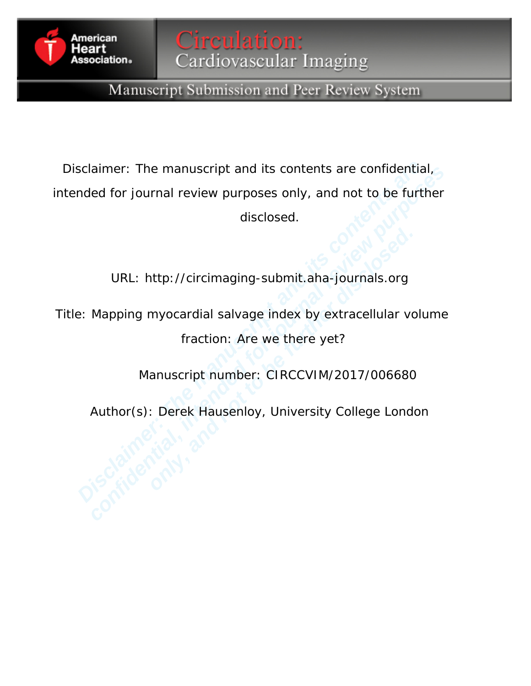

# Manuscript Submission and Peer Review System

**Example 12 Scheme Scheme Scheme Scheme Scheme Scheme Scheme Are confidential**<br>  **DIRL:** http://circimaging-submit.aha-journals.org<br> **EXECUTE:** Mapping myocardial salvage index by extracellular volume fraction: Are we ther aimer: The manuscript and its contents are confidential,<br>led for journal review purposes only, and not to be further<br>disclosed.<br>URL: http://circimaging-submit.aha-journals.org<br>Mapping myocardial salvage index by extracellu Disclaimer: The manuscript and its contents are confidential, intended for journal review purposes only, and not to be further disclosed.

URL: http://circimaging-submit.aha-journals.org

URL: http://circimaging-submit.aha-journals.org<br>pping myocardial salvage index by extracellular vc<br>fraction: Are we there yet?<br>Manuscript number: CIRCCVIM/2017/006680<br>hor(s): Derek Hausenloy, University College Londe<br>Althe Title: Mapping myocardial salvage index by extracellular volume fraction: Are we there yet?

Manuscript number: CIRCCVIM/2017/006680

Author(s): Derek Hausenloy, University College London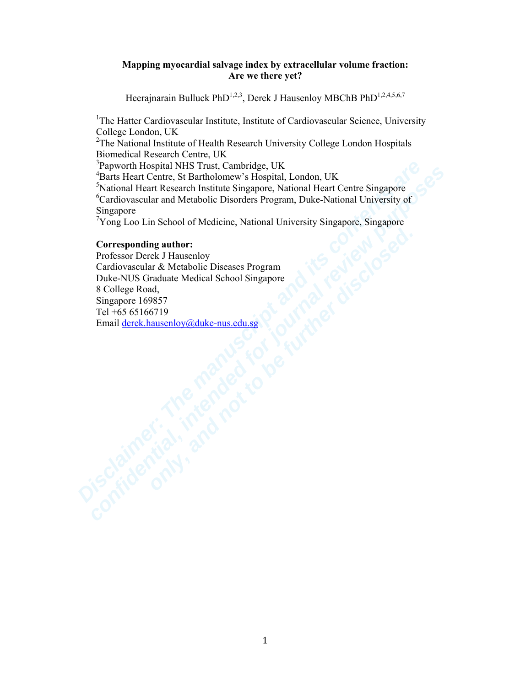# **Mapping myocardial salvage index by extracellular volume fraction: Are we there yet?**

Heerajnarain Bulluck PhD<sup>1,2,3</sup>, Derek J Hausenloy MBChB PhD<sup>1,2,4,5,6,7</sup>

<sup>1</sup>The Hatter Cardiovascular Institute, Institute of Cardiovascular Science, University College London, UK

<sup>2</sup>The National Institute of Health Research University College London Hospitals Biomedical Research Centre, UK

<sup>3</sup>Papworth Hospital NHS Trust, Cambridge, UK

4 Barts Heart Centre, St Bartholomew's Hospital, London, UK

5 National Heart Research Institute Singapore, National Heart Centre Singapore 6 Cardiovascular and Metabolic Disorders Program, Duke-National University of Singapore

<sup>7</sup>Yong Loo Lin School of Medicine, National University Singapore, Singapore

# **Corresponding author:**

**Papworth Hospital NHS Trust, Cambridge, UK**<br> **Barts Heart Centre, St Bartholomew's Hospital, London, UK**<br> **Partion Heart Research Institute Singapore, National Heart Centre Singapore**<br>
Cardiovascular and Metabolic Disorde **Fagivorni rospieur NETS Trust, campingg, C.N.**<br> **Confidential Heat Centre, St Bartholomew's Ilospital, London, UK**<br> **Ratis Heat Centre, St Bartholomew's Ilospital, London, UK**<br> **Corresponding author** Research Institute Si **Presponding author:**<br> **Essor Derek J Hausenloy**<br>
diovascular & Metabolic Diseases Program<br> **Dillege Rod,**<br> **For to be fundate Medical School Singapore**<br> **For to be fundate to be fundate fundation**<br> **Allege Rod,**<br> **Allege** Professor Derek J Hausenloy Cardiovascular & Metabolic Diseases Program Duke-NUS Graduate Medical School Singapore 8 College Road, Singapore 169857 Tel +65 65166719 Email derek.hausenloy@duke-nus.edu.sg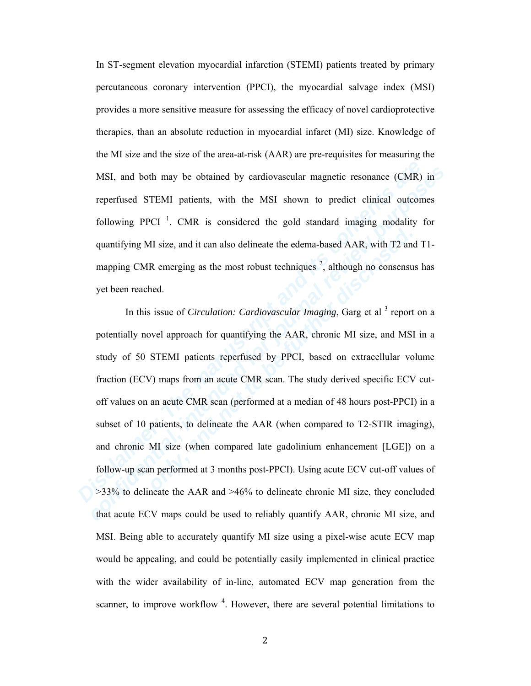In ST-segment elevation myocardial infarction (STEMI) patients treated by primary percutaneous coronary intervention (PPCI), the myocardial salvage index (MSI) provides a more sensitive measure for assessing the efficacy of novel cardioprotective therapies, than an absolute reduction in myocardial infarct (MI) size. Knowledge of the MI size and the size of the area-at-risk (AAR) are pre-requisites for measuring the MSI, and both may be obtained by cardiovascular magnetic resonance (CMR) in reperfused STEMI patients, with the MSI shown to predict clinical outcomes following PPCI<sup>1</sup>. CMR is considered the gold standard imaging modality for quantifying MI size, and it can also delineate the edema-based AAR, with T2 and T1 mapping CMR emerging as the most robust techniques  $2$ , although no consensus has yet been reached.

MSI, and both may be obtained by cardiovascular magnetic resonance (CMR)<br>reperfused STEMI patients, with the MSI shown to predict clinical outcom<br>following PPCI<sup>1</sup>. CMR is considered the gold standard imaging modality t<br>qu MSI, and both may be obtained by cardiovascular magnetic resonance (CMR) in<br>reperfused STEMI patients, with the MSI shown to predict clinical outcomes<br>following PPCI<sup>1</sup>. CMR is considered the gold standard imaging modalit **Example 10** Size, and it can also delineate the edema-based AAR, with T2 and<br>ping CMR emerging as the most robust techniques<sup>2</sup>, although no consensus<br>been reached.<br>In this issue of *Circulation: Cardiovascular Imaging*, In this issue of *Circulation: Cardiovascular Imaging*, Garg et al<sup>3</sup> report on a potentially novel approach for quantifying the AAR, chronic MI size, and MSI in a study of 50 STEMI patients reperfused by PPCI, based on extracellular volume fraction (ECV) maps from an acute CMR scan. The study derived specific ECV cutoff values on an acute CMR scan (performed at a median of 48 hours post-PPCI) in a subset of 10 patients, to delineate the AAR (when compared to T2-STIR imaging), and chronic MI size (when compared late gadolinium enhancement [LGE]) on a follow-up scan performed at 3 months post-PPCI). Using acute ECV cut-off values of >33% to delineate the AAR and >46% to delineate chronic MI size, they concluded that acute ECV maps could be used to reliably quantify AAR, chronic MI size, and MSI. Being able to accurately quantify MI size using a pixel-wise acute ECV map would be appealing, and could be potentially easily implemented in clinical practice with the wider availability of in-line, automated ECV map generation from the scanner, to improve workflow  $4$ . However, there are several potential limitations to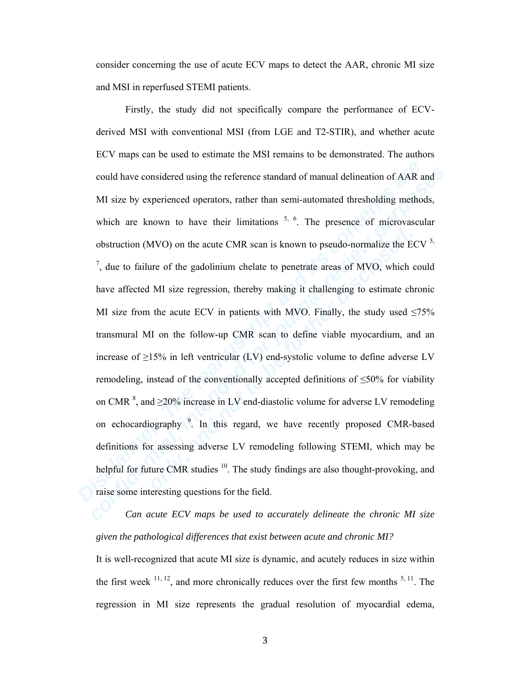consider concerning the use of acute ECV maps to detect the AAR, chronic MI size and MSI in reperfused STEMI patients.

could have considered using the reference standard of manual delineation of AAR a MI size by experienced operators, rather than semi-automated thresholding method which are known to have their limitations  $5$ ,  $6$ . The pr could have considered using the reference standard of manual delineation of AAR and MI size by experienced operators, rather than semi-automated thresholding methods, which are known to have their limitations <sup>5, 6</sup>. The pruction (MVO) on the acute CMR scan is known to pseudo-normalize the EG<br>
ue to failure of the gadolinium chelate to penetrate areas of MVO, which c<br>
a affected MI size regression, thereby making it challenging to estimat Firstly, the study did not specifically compare the performance of ECVderived MSI with conventional MSI (from LGE and T2-STIR), and whether acute ECV maps can be used to estimate the MSI remains to be demonstrated. The authors could have considered using the reference standard of manual delineation of AAR and MI size by experienced operators, rather than semi-automated thresholding methods, which are known to have their limitations  $5, 6$ . The presence of microvascular obstruction (MVO) on the acute CMR scan is known to pseudo-normalize the ECV  $5$ ,  $<sup>7</sup>$ , due to failure of the gadolinium chelate to penetrate areas of MVO, which could</sup> have affected MI size regression, thereby making it challenging to estimate chronic MI size from the acute ECV in patients with MVO. Finally, the study used  $\leq 75\%$ transmural MI on the follow-up CMR scan to define viable myocardium, and an increase of  $\geq$ 15% in left ventricular (LV) end-systolic volume to define adverse LV remodeling, instead of the conventionally accepted definitions of  $\leq 50\%$  for viability on CMR  $^{8}$ , and  $\geq$ 20% increase in LV end-diastolic volume for adverse LV remodeling on echocardiography<sup>9</sup>. In this regard, we have recently proposed CMR-based definitions for assessing adverse LV remodeling following STEMI, which may be helpful for future CMR studies  $10$ . The study findings are also thought-provoking, and raise some interesting questions for the field.

*Can acute ECV maps be used to accurately delineate the chronic MI size given the pathological differences that exist between acute and chronic MI?*

It is well-recognized that acute MI size is dynamic, and acutely reduces in size within the first week  $^{11, 12}$ , and more chronically reduces over the first few months  $^{5, 11}$ . The regression in MI size represents the gradual resolution of myocardial edema,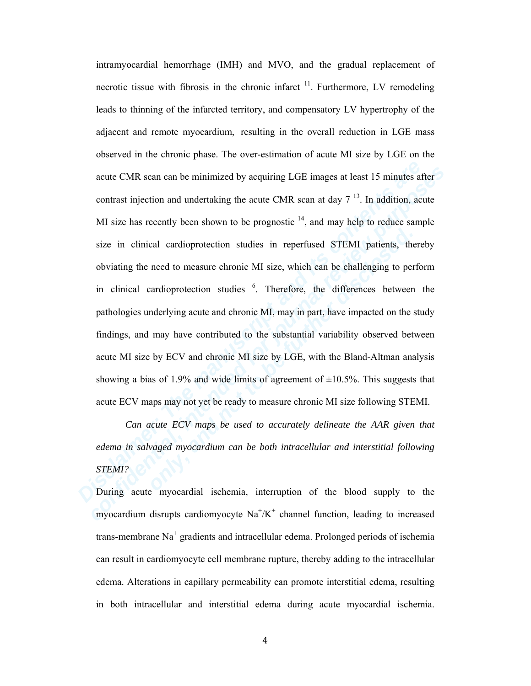acute CMR scan can be minimized by acquiring LGE images at least 15 minutes af<br>contrast injection and undertaking the acute CMR scan at day 7<sup>13</sup>. In addition, act<br>MI size has recently been shown to be prognostic <sup>14</sup>, and acute CMR scan can be minimized by acquiring LGE images at least 15 minutes after<br>contrast injection and undertaking the acute CMR scan at day  $7^{13}$ . In addition, acute<br>MI size has recently been shown to be prognostic <sup></sup> in clinical cardioprotection studies in reperfused STEMI patients, the<br>iating the need to measure chronic MI size, which can be challenging to per<br>clinical cardioprotection studies <sup>6</sup>. Therefore, the differences between<br> intramyocardial hemorrhage (IMH) and MVO, and the gradual replacement of necrotic tissue with fibrosis in the chronic infarct  $11$ . Furthermore, LV remodeling leads to thinning of the infarcted territory, and compensatory LV hypertrophy of the adjacent and remote myocardium, resulting in the overall reduction in LGE mass observed in the chronic phase. The over-estimation of acute MI size by LGE on the acute CMR scan can be minimized by acquiring LGE images at least 15 minutes after contrast injection and undertaking the acute CMR scan at day  $7^{13}$ . In addition, acute MI size has recently been shown to be prognostic  $14$ , and may help to reduce sample size in clinical cardioprotection studies in reperfused STEMI patients, thereby obviating the need to measure chronic MI size, which can be challenging to perform in clinical cardioprotection studies  $6$ . Therefore, the differences between the pathologies underlying acute and chronic MI, may in part, have impacted on the study findings, and may have contributed to the substantial variability observed between acute MI size by ECV and chronic MI size by LGE, with the Bland-Altman analysis showing a bias of 1.9% and wide limits of agreement of  $\pm 10.5$ %. This suggests that acute ECV maps may not yet be ready to measure chronic MI size following STEMI.

*Can acute ECV maps be used to accurately delineate the AAR given that edema in salvaged myocardium can be both intracellular and interstitial following STEMI?* 

During acute myocardial ischemia, interruption of the blood supply to the myocardium disrupts cardiomyocyte  $\text{Na}^{\dagger}/\text{K}^{\dagger}$  channel function, leading to increased trans-membrane  $\text{Na}^+$  gradients and intracellular edema. Prolonged periods of ischemia can result in cardiomyocyte cell membrane rupture, thereby adding to the intracellular edema. Alterations in capillary permeability can promote interstitial edema, resulting in both intracellular and interstitial edema during acute myocardial ischemia.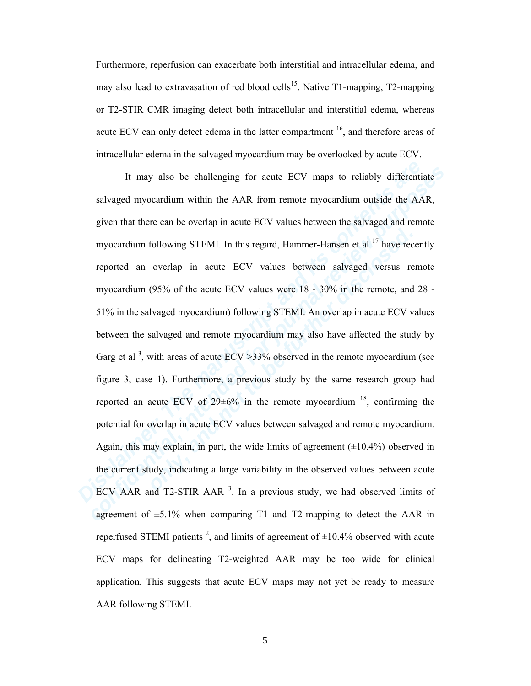Furthermore, reperfusion can exacerbate both interstitial and intracellular edema, and may also lead to extravasation of red blood cells<sup>15</sup>. Native T1-mapping, T2-mapping or T2-STIR CMR imaging detect both intracellular and interstitial edema, whereas acute ECV can only detect edema in the latter compartment  $16$ , and therefore areas of intracellular edema in the salvaged myocardium may be overlooked by acute ECV.

It may also be challenging for acute ECV maps to reliably differential<br>salvaged myocardium within the AAR from remote myocardium outside the AA<br>given that there can be overlap in acute ECV values between the salvaged and It may also be challenging for acute ECV maps to reliably differentiate<br>salvaged myocardium within the AAR from remote myocardium outside the AAR,<br>given that there can be overlap in acute ECV values between the salvaged a **EXECTS THEMI.** In this regard, Hammer-Hansen et al<sup>17</sup> have recorded an overlap in acute ECV values between salvaged versus recardium (95% of the acute ECV values were 18 - 30% in the remote, and is in the salvaged myoca It may also be challenging for acute ECV maps to reliably differentiate salvaged myocardium within the AAR from remote myocardium outside the AAR, given that there can be overlap in acute ECV values between the salvaged and remote myocardium following STEMI. In this regard, Hammer-Hansen et al  $17$  have recently reported an overlap in acute ECV values between salvaged versus remote myocardium (95% of the acute ECV values were 18 - 30% in the remote, and 28 - 51% in the salvaged myocardium) following STEMI. An overlap in acute ECV values between the salvaged and remote myocardium may also have affected the study by Garg et al<sup>3</sup>, with areas of acute  $ECV > 33%$  observed in the remote myocardium (see figure 3, case 1). Furthermore, a previous study by the same research group had reported an acute ECV of  $29\pm6\%$  in the remote myocardium  $18$ , confirming the potential for overlap in acute ECV values between salvaged and remote myocardium. Again, this may explain, in part, the wide limits of agreement  $(\pm 10.4\%)$  observed in the current study, indicating a large variability in the observed values between acute ECV AAR and T2-STIR AAR  $3$ . In a previous study, we had observed limits of agreement of  $\pm$ 5.1% when comparing T1 and T2-mapping to detect the AAR in reperfused STEMI patients<sup>2</sup>, and limits of agreement of  $\pm 10.4\%$  observed with acute ECV maps for delineating T2-weighted AAR may be too wide for clinical application. This suggests that acute ECV maps may not yet be ready to measure AAR following STEMI.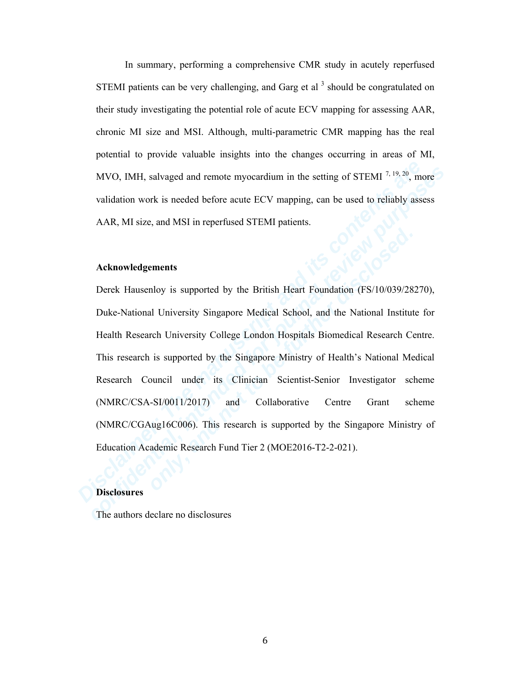In summary, performing a comprehensive CMR study in acutely reperfused STEMI patients can be very challenging, and Garg et al  $<sup>3</sup>$  should be congratulated on</sup> their study investigating the potential role of acute ECV mapping for assessing AAR, chronic MI size and MSI. Although, multi-parametric CMR mapping has the real potential to provide valuable insights into the changes occurring in areas of MI, MVO, IMH, salvaged and remote myocardium in the setting of STEMI 7, 19, 20, more validation work is needed before acute ECV mapping, can be used to reliably assess AAR, MI size, and MSI in reperfused STEMI patients.

#### **Acknowledgements**

MVO, IMII, salvaged and remote myocardium in the setting of STEMI 7,<sup>19,20</sup>, moralidation work is needed before acute ECV mapping, can be used to reliably assemants.<br> **ARR, MI** size, and MSI in reperfused STEMI patients.<br> MVO, IMII, salvaged and remote myocardium in the setting of STEMI  $^{7,19,70}$ , more validation work is needed before acute ECV mapping, can be used to reliably assess AAR, MI size, and MSI in reperfused STEMI patients.<br> **EXECT EXECT SET THEORY ISSOCIATE:**<br> **EXECT ALTERATION EXECT TEST ALTERATION ISSOCRT AND MODE CONSIDENT AREAD UNIVERSITY College London Hospitals Biomedical Research Centers enter the supported by the Singapore Ministry of** Derek Hausenloy is supported by the British Heart Foundation (FS/10/039/28270), Duke-National University Singapore Medical School, and the National Institute for Health Research University College London Hospitals Biomedical Research Centre. This research is supported by the Singapore Ministry of Health's National Medical Research Council under its Clinician Scientist-Senior Investigator scheme (NMRC/CSA-SI/0011/2017) and Collaborative Centre Grant scheme (NMRC/CGAug16C006). This research is supported by the Singapore Ministry of Education Academic Research Fund Tier 2 (MOE2016-T2-2-021).

### **Disclosures**

The authors declare no disclosures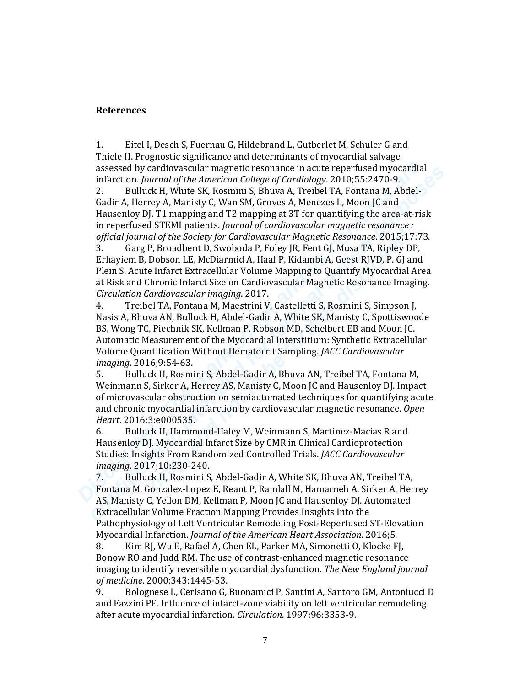# **References**

1. Eitel I, Desch S, Fuernau G, Hildebrand L, Gutberlet M, Schuler G and Thiele H. Prognostic significance and determinants of myocardial salvage assessed by cardiovascular magnetic resonance in acute reperfused myocardial infarction. *Journal of the American College of Cardiology*. 2010;55:2470-9.

2. Bulluck H, White SK, Rosmini S, Bhuva A, Treibel TA, Fontana M, Abdel-Gadir A, Herrey A, Manisty C, Wan SM, Groves A, Menezes L, Moon JC and Hausenloy DJ. T1 mapping and T2 mapping at 3T for quantifying the area-at-risk in reperfused STEMI patients. *Journal of cardiovascular magnetic resonance : official journal of the Society for Cardiovascular Magnetic Resonance*. 2015;17:73.

3. Garg P, Broadbent D, Swoboda P, Foley JR, Fent GJ, Musa TA, Ripley DP, Erhayiem B, Dobson LE, McDiarmid A, Haaf P, Kidambi A, Geest RJVD, P. GJ and Plein S. Acute Infarct Extracellular Volume Mapping to Quantify Myocardial Area at Risk and Chronic Infarct Size on Cardiovascular Magnetic Resonance Imaging. *Circulation Cardiovascular imaging*. 2017.

assessed by cardiovascular magnetic resonance in actute reperfused myocardial infaction. Journal of the American College of Cardiology. 2010:55:2470-9.<br>
2. Bulluck H, White SK, Rosmini S, Bhuva A, Treibel TA, Fontana M, Ab assessed by cardiovascular magnetic resonance in actue reperting myocardial<br>
infraction. Journal of the American College of Cardiology. 2010;55:2470-9.<br>
2. Bulluck H, White SK, Rosmini S, Bhuva A, Treibel TA, Fontana M, Ab Francus The Matters. Journal of the Society for Cardiovascular Magnetic, Resonance. 2015;17<br>
Garg P, Broadbent D, Swoboda P, Foley JR, Fent GJ, Musa TA, Ripley DB<br>
Tagg P, Broadbent D, Swoboda P, Foley JR, Fent GJ, Musa TA 4. Treibel TA, Fontana M, Maestrini V, Castelletti S, Rosmini S, Simpson J, Nasis A, Bhuva AN, Bulluck H, Abdel-Gadir A, White SK, Manisty C, Spottiswoode BS, Wong TC, Piechnik SK, Kellman P, Robson MD, Schelbert EB and Moon JC. Automatic Measurement of the Myocardial Interstitium: Synthetic Extracellular Volume Quantification Without Hematocrit Sampling. *JACC Cardiovascular imaging*. 2016;9:54-63.

5. Bulluck H, Rosmini S, Abdel-Gadir A, Bhuva AN, Treibel TA, Fontana M, Weinmann S, Sirker A, Herrey AS, Manisty C, Moon JC and Hausenloy DJ. Impact of microvascular obstruction on semiautomated techniques for quantifying acute and chronic myocardial infarction by cardiovascular magnetic resonance. *Open Heart*. 2016;3:e000535.

6. Bulluck H, Hammond-Haley M, Weinmann S, Martinez-Macias R and Hausenloy DJ. Myocardial Infarct Size by CMR in Clinical Cardioprotection Studies: Insights From Randomized Controlled Trials. *JACC Cardiovascular imaging*. 2017;10:230-240.

7. Bulluck H, Rosmini S, Abdel-Gadir A, White SK, Bhuva AN, Treibel TA, Fontana M, Gonzalez-Lopez E, Reant P, Ramlall M, Hamarneh A, Sirker A, Herrey AS, Manisty C, Yellon DM, Kellman P, Moon JC and Hausenloy DJ. Automated Extracellular Volume Fraction Mapping Provides Insights Into the Pathophysiology of Left Ventricular Remodeling Post-Reperfused ST-Elevation Myocardial Infarction. *Journal of the American Heart Association*. 2016;5.

8. Kim RJ, Wu E, Rafael A, Chen EL, Parker MA, Simonetti O, Klocke FJ, Bonow RO and Judd RM. The use of contrast-enhanced magnetic resonance imaging to identify reversible myocardial dysfunction. *The New England journal of medicine*. 2000;343:1445-53.

9. Bolognese L, Cerisano G, Buonamici P, Santini A, Santoro GM, Antoniucci D and Fazzini PF. Influence of infarct-zone viability on left ventricular remodeling after acute myocardial infarction. *Circulation*. 1997;96:3353-9.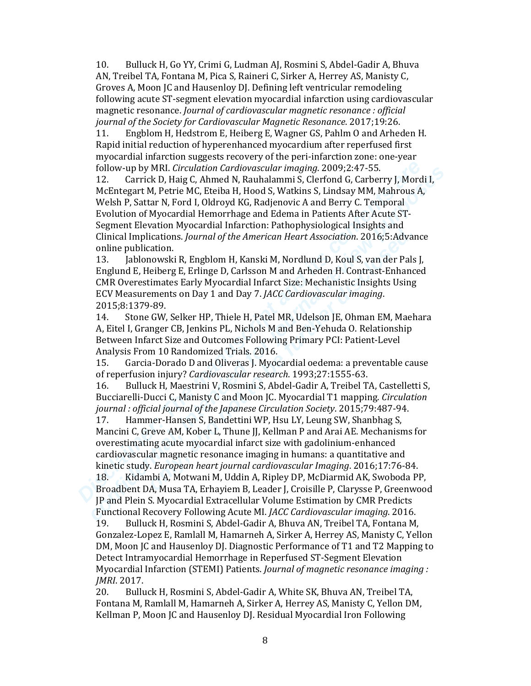10. Bulluck H, Go YY, Crimi G, Ludman AJ, Rosmini S, Abdel-Gadir A, Bhuva AN, Treibel TA, Fontana M, Pica S, Raineri C, Sirker A, Herrey AS, Manisty C, Groves A, Moon JC and Hausenloy DJ. Defining left ventricular remodeling following acute ST-segment elevation myocardial infarction using cardiovascular magnetic resonance. *Journal of cardiovascular magnetic resonance : official journal of the Society for Cardiovascular Magnetic Resonance*. 2017;19:26.

11. Engblom H, Hedstrom E, Heiberg E, Wagner GS, Pahlm O and Arheden H. Rapid initial reduction of hyperenhanced myocardium after reperfused first myocardial infarction suggests recovery of the peri-infarction zone: one-year follow-up by MRI. *Circulation Cardiovascular imaging*. 2009;2:47-55.

Follow-up by MRI. *Circulation Cartiovascular imaging*. 2009;2:47-55.<br>
12. Carrick D, Haig C, Ahmed N, Rauhalammi S, Cleriord G, Carberry J, Mord McEhtegart M, Petrie MC, Eteiba H, Hood S, Watkins S, Lindsay MM, Mahrous A, Follow up MRL *Circulation Cartiforocatical imaging,* 2009;2:47-55.<br>
12. Carrick D, Haig C, Ahmed N, Rauhalammi S, Clerfond G, Carberry J, Mordi I,<br>
McEntegart M, Petrie MC, Eteiba H, Hood S, Watkins S, Lindsay MM, Mahrou 12. Carrick D, Haig C, Ahmed N, Rauhalammi S, Clerfond G, Carberry J, Mordi I, McEntegart M, Petrie MC, Eteiba H, Hood S, Watkins S, Lindsay MM, Mahrous A, Welsh P, Sattar N, Ford I, Oldroyd KG, Radjenovic A and Berry C. Temporal Evolution of Myocardial Hemorrhage and Edema in Patients After Acute ST-Segment Elevation Myocardial Infarction: Pathophysiological Insights and Clinical Implications. *Journal of the American Heart Association*. 2016;5:Advance online publication.

ment Lacewator in the matter and in matter and increased insigned and increased included. Helplications. Journal of the American Heart Association. 2016;5:4dvane publication.<br>
Ialohowski R, Engblom H, Kanski M, Nordlund D, 13. Jablonowski R, Engblom H, Kanski M, Nordlund D, Koul S, van der Pals J, Englund E, Heiberg E, Erlinge D, Carlsson M and Arheden H. Contrast-Enhanced CMR Overestimates Early Myocardial Infarct Size: Mechanistic Insights Using ECV Measurements on Day 1 and Day 7. *JACC Cardiovascular imaging*. 2015;8:1379-89.

14. Stone GW, Selker HP, Thiele H, Patel MR, Udelson JE, Ohman EM, Maehara A, Eitel I, Granger CB, Jenkins PL, Nichols M and Ben-Yehuda O. Relationship Between Infarct Size and Outcomes Following Primary PCI: Patient-Level Analysis From 10 Randomized Trials. 2016.

15. Garcia-Dorado D and Oliveras J. Myocardial oedema: a preventable cause of reperfusion injury? *Cardiovascular research*. 1993;27:1555-63.

16. Bulluck H, Maestrini V, Rosmini S, Abdel-Gadir A, Treibel TA, Castelletti S, Bucciarelli-Ducci C, Manisty C and Moon JC. Myocardial T1 mapping. *Circulation journal : official journal of the Japanese Circulation Society*. 2015;79:487-94.

17. Hammer-Hansen S, Bandettini WP, Hsu LY, Leung SW, Shanbhag S, Mancini C, Greve AM, Kober L, Thune JJ, Kellman P and Arai AE. Mechanisms for overestimating acute myocardial infarct size with gadolinium-enhanced cardiovascular magnetic resonance imaging in humans: a quantitative and kinetic study. *European heart journal cardiovascular Imaging*. 2016;17:76-84.

18. Kidambi A, Motwani M, Uddin A, Ripley DP, McDiarmid AK, Swoboda PP, Broadbent DA, Musa TA, Erhayiem B, Leader J, Croisille P, Clarysse P, Greenwood JP and Plein S. Myocardial Extracellular Volume Estimation by CMR Predicts Functional Recovery Following Acute MI. *JACC Cardiovascular imaging*. 2016.

19. Bulluck H, Rosmini S, Abdel-Gadir A, Bhuva AN, Treibel TA, Fontana M, Gonzalez-Lopez E, Ramlall M, Hamarneh A, Sirker A, Herrey AS, Manisty C, Yellon DM, Moon JC and Hausenloy DJ. Diagnostic Performance of T1 and T2 Mapping to Detect Intramyocardial Hemorrhage in Reperfused ST-Segment Elevation Myocardial Infarction (STEMI) Patients. *Journal of magnetic resonance imaging : JMRI*. 2017.

20. Bulluck H, Rosmini S, Abdel-Gadir A, White SK, Bhuva AN, Treibel TA, Fontana M, Ramlall M, Hamarneh A, Sirker A, Herrey AS, Manisty C, Yellon DM, Kellman P, Moon JC and Hausenloy DJ. Residual Myocardial Iron Following